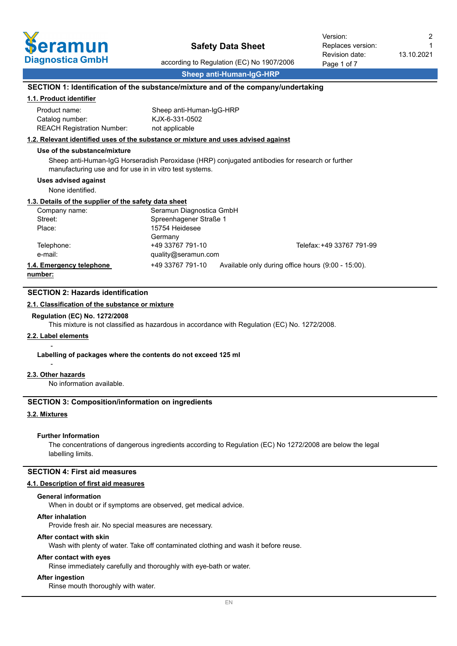

according to Regulation (EC) No 1907/2006 **Sheep anti-Human-IgG-HRP**

1

# **SECTION 1: Identification of the substance/mixture and of the company/undertaking**

#### **1.1. Product identifier**

| Product name:                     | Sheep anti-Human-IqG-HRP |
|-----------------------------------|--------------------------|
| Catalog number:                   | KJX-6-331-0502           |
| <b>REACH Registration Number:</b> | not applicable           |

### **1.2. Relevant identified uses of the substance or mixture and uses advised against**

#### **Use of the substance/mixture**

Sheep anti-Human-IgG Horseradish Peroxidase (HRP) conjugated antibodies for research or further manufacturing use and for use in in vitro test systems.

#### **Uses advised against**

None identified.

#### **1.3. Details of the supplier of the safety data sheet**

| Company name:            | Seramun Diagnostica GmbH |                                                    |
|--------------------------|--------------------------|----------------------------------------------------|
| Street:                  | Spreenhagener Straße 1   |                                                    |
| Place:                   | 15754 Heidesee           |                                                    |
|                          | Germany                  |                                                    |
| Telephone:               | +49 33767 791-10         | Telefax: +49 33767 791-99                          |
| e-mail:                  | quality@seramun.com      |                                                    |
| 1.4. Emergency telephone | +49 33767 791-10         | Available only during office hours (9:00 - 15:00). |
| . <b>1.</b>              |                          |                                                    |

**number:**

# **SECTION 2: Hazards identification**

## **2.1. Classification of the substance or mixture**

#### **Regulation (EC) No. 1272/2008**

This mixture is not classified as hazardous in accordance with Regulation (EC) No. 1272/2008.

# **2.2. Label elements**

-

-

#### **Labelling of packages where the contents do not exceed 125 ml**

#### **2.3. Other hazards**

No information available.

# **SECTION 3: Composition/information on ingredients**

## **3.2. Mixtures**

#### **Further Information**

The concentrations of dangerous ingredients according to Regulation (EC) No 1272/2008 are below the legal labelling limits.

#### **SECTION 4: First aid measures**

#### **4.1. Description of first aid measures**

#### **General information**

When in doubt or if symptoms are observed, get medical advice.

#### **After inhalation**

Provide fresh air. No special measures are necessary.

#### **After contact with skin**

Wash with plenty of water. Take off contaminated clothing and wash it before reuse.

## **After contact with eyes**

Rinse immediately carefully and thoroughly with eye-bath or water.

## **After ingestion**

Rinse mouth thoroughly with water.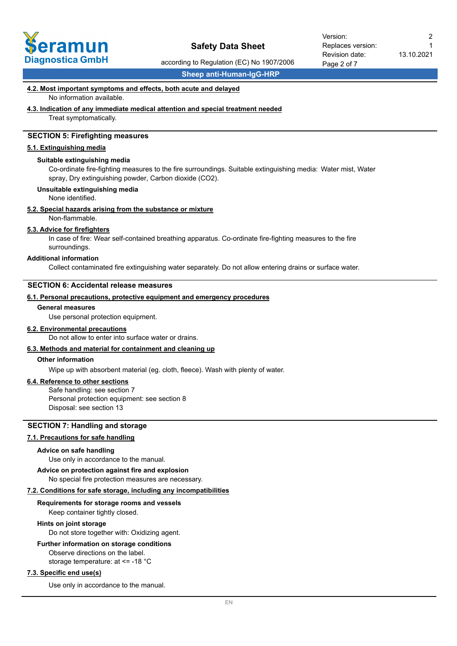

according to Regulation (EC) No 1907/2006

**Sheep anti-Human-IgG-HRP**

#### **4.2. Most important symptoms and effects, both acute and delayed**

No information available.

#### **4.3. Indication of any immediate medical attention and special treatment needed**

Treat symptomatically.

# **SECTION 5: Firefighting measures**

#### **5.1. Extinguishing media**

#### **Suitable extinguishing media**

Co-ordinate fire-fighting measures to the fire surroundings. Suitable extinguishing media: Water mist, Water spray, Dry extinguishing powder, Carbon dioxide (CO2).

#### **Unsuitable extinguishing media**

None identified.

#### **5.2. Special hazards arising from the substance or mixture**

Non-flammable.

#### **5.3. Advice for firefighters**

In case of fire: Wear self-contained breathing apparatus. Co-ordinate fire-fighting measures to the fire surroundings.

#### **Additional information**

Collect contaminated fire extinguishing water separately. Do not allow entering drains or surface water.

## **SECTION 6: Accidental release measures**

#### **6.1. Personal precautions, protective equipment and emergency procedures**

#### **General measures**

Use personal protection equipment.

#### **6.2. Environmental precautions**

Do not allow to enter into surface water or drains.

# **6.3. Methods and material for containment and cleaning up**

# **Other information**

Wipe up with absorbent material (eg. cloth, fleece). Wash with plenty of water.

## **6.4. Reference to other sections**

Safe handling: see section 7 Personal protection equipment: see section 8 Disposal: see section 13

# **SECTION 7: Handling and storage**

# **7.1. Precautions for safe handling**

#### **Advice on safe handling**

Use only in accordance to the manual.

#### **Advice on protection against fire and explosion**

No special fire protection measures are necessary.

### **7.2. Conditions for safe storage, including any incompatibilities**

#### **Requirements for storage rooms and vessels**

Keep container tightly closed.

#### **Hints on joint storage**

Do not store together with: Oxidizing agent.

#### **Further information on storage conditions**

Observe directions on the label. storage temperature: at <= -18 °C

#### **7.3. Specific end use(s)**

Use only in accordance to the manual.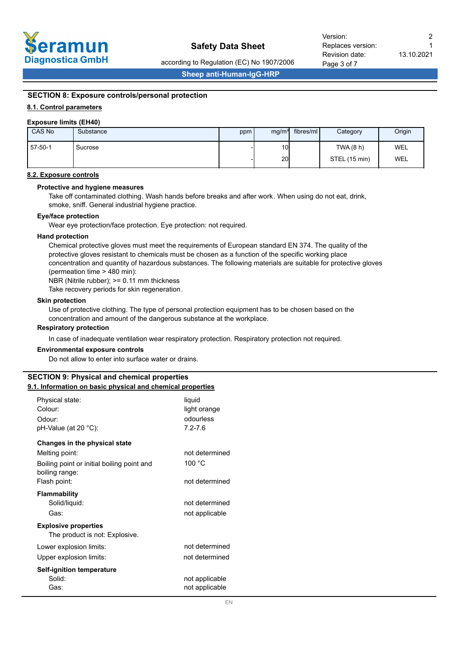

Page 3 of 7 Revision date: Replaces version: Version: 2

according to Regulation (EC) No 1907/2006

**Sheep anti-Human-IgG-HRP**

# **SECTION 8: Exposure controls/personal protection**

# **8.1. Control parameters**

#### **Exposure limits (EH40)**

| CAS No  | Substance | ppm | mg/m <sup>3</sup> | fibres/ml | Category      | Origin     |
|---------|-----------|-----|-------------------|-----------|---------------|------------|
| 57-50-1 | Sucrose   |     | 10 <sub>l</sub>   |           | TWA (8 h)     | <b>WEL</b> |
|         |           |     | 20                |           | STEL (15 min) | <b>WEL</b> |

## **8.2. Exposure controls**

### **Protective and hygiene measures**

Take off contaminated clothing. Wash hands before breaks and after work. When using do not eat, drink, smoke, sniff. General industrial hygiene practice.

#### **Eye/face protection**

Wear eye protection/face protection. Eye protection: not required.

#### **Hand protection**

Chemical protective gloves must meet the requirements of European standard EN 374. The quality of the protective gloves resistant to chemicals must be chosen as a function of the specific working place concentration and quantity of hazardous substances. The following materials are suitable for protective gloves (permeation time > 480 min):

NBR (Nitrile rubber); >= 0.11 mm thickness

Take recovery periods for skin regeneration.

#### **Skin protection**

Use of protective clothing. The type of personal protection equipment has to be chosen based on the concentration and amount of the dangerous substance at the workplace.

#### **Respiratory protection**

In case of inadequate ventilation wear respiratory protection. Respiratory protection not required.

#### **Environmental exposure controls**

Do not allow to enter into surface water or drains.

# **SECTION 9: Physical and chemical properties**

# **9.1. Information on basic physical and chemical properties**

| Physical state:<br>Colour:                                    | liquid<br>light orange |
|---------------------------------------------------------------|------------------------|
| Odour:                                                        | odourless              |
| pH-Value (at 20 °C):                                          | $7.2 - 7.6$            |
| Changes in the physical state                                 |                        |
| Melting point:                                                | not determined         |
| Boiling point or initial boiling point and<br>boiling range:  | 100 °C                 |
| Flash point:                                                  | not determined         |
| <b>Flammability</b>                                           |                        |
| Solid/liquid:                                                 | not determined         |
| Gas:                                                          | not applicable         |
| <b>Explosive properties</b><br>The product is not: Explosive. |                        |
| Lower explosion limits:                                       | not determined         |
| Upper explosion limits:                                       | not determined         |
| <b>Self-ignition temperature</b>                              |                        |
| Solid:                                                        | not applicable         |
| Gas:                                                          | not applicable         |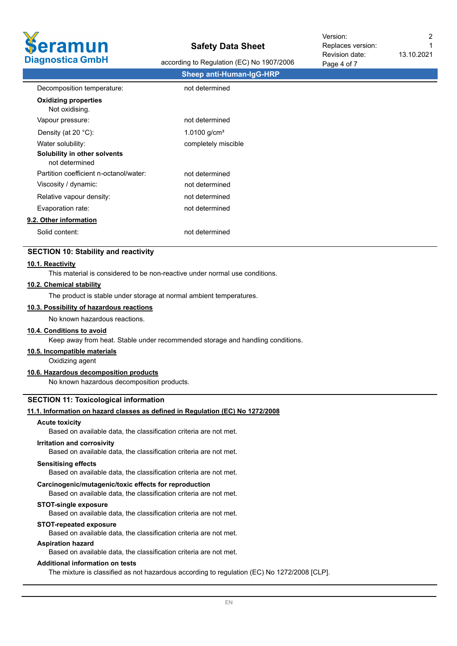

according to Regulation (EC) No 1907/2006

| $1$ agu $7$ VI <i>I</i>  |
|--------------------------|
| Sheep anti-Human-IgG-HRP |
| not determined           |
|                          |
| not determined           |
| 1.0100 $g/cm3$           |
| completely miscible      |
|                          |
| not determined           |
| not determined           |
| not determined           |
| not determined           |
|                          |
| not determined           |
|                          |

## **SECTION 10: Stability and reactivity**

#### **10.1. Reactivity**

This material is considered to be non-reactive under normal use conditions.

#### **10.2. Chemical stability**

The product is stable under storage at normal ambient temperatures.

# **10.3. Possibility of hazardous reactions**

No known hazardous reactions.

#### **10.4. Conditions to avoid**

Keep away from heat. Stable under recommended storage and handling conditions.

# **10.5. Incompatible materials**

Oxidizing agent

# **10.6. Hazardous decomposition products**

No known hazardous decomposition products.

#### **SECTION 11: Toxicological information**

## **11.1. Information on hazard classes as defined in Regulation (EC) No 1272/2008**

#### **Acute toxicity**

Based on available data, the classification criteria are not met.

#### **Irritation and corrosivity**

Based on available data, the classification criteria are not met.

#### **Sensitising effects**

Based on available data, the classification criteria are not met.

#### **Carcinogenic/mutagenic/toxic effects for reproduction**

Based on available data, the classification criteria are not met.

#### **STOT-single exposure**

Based on available data, the classification criteria are not met.

#### **STOT-repeated exposure**

Based on available data, the classification criteria are not met.

# **Aspiration hazard**

Based on available data, the classification criteria are not met.

#### **Additional information on tests**

The mixture is classified as not hazardous according to regulation (EC) No 1272/2008 [CLP].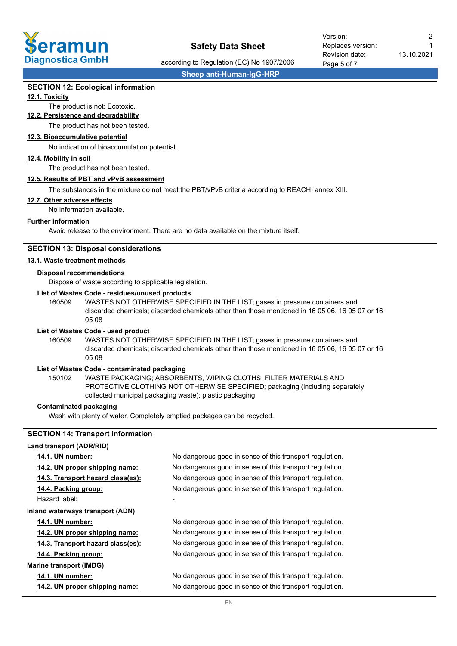

Revision date: Replaces version: Version: 2

according to Regulation (EC) No 1907/2006

Page 5 of 7

13.10.2021

1

**Sheep anti-Human-IgG-HRP**

# **SECTION 12: Ecological information**

## **12.1. Toxicity**

# The product is not: Ecotoxic.

**12.2. Persistence and degradability**

The product has not been tested.

# **12.3. Bioaccumulative potential**

No indication of bioaccumulation potential.

### **12.4. Mobility in soil**

The product has not been tested.

### **12.5. Results of PBT and vPvB assessment**

The substances in the mixture do not meet the PBT/vPvB criteria according to REACH, annex XIII.

#### **12.7. Other adverse effects**

No information available.

#### **Further information**

Avoid release to the environment. There are no data available on the mixture itself.

### **SECTION 13: Disposal considerations**

#### **13.1. Waste treatment methods**

#### **Disposal recommendations**

Dispose of waste according to applicable legislation.

## **List of Wastes Code - residues/unused products**

160509 WASTES NOT OTHERWISE SPECIFIED IN THE LIST; gases in pressure containers and discarded chemicals; discarded chemicals other than those mentioned in 16 05 06, 16 05 07 or 16 05 08

#### **List of Wastes Code - used product**

WASTES NOT OTHERWISE SPECIFIED IN THE LIST; gases in pressure containers and discarded chemicals; discarded chemicals other than those mentioned in 16 05 06, 16 05 07 or 16 05 08 160509

## **List of Wastes Code - contaminated packaging**

WASTE PACKAGING; ABSORBENTS, WIPING CLOTHS, FILTER MATERIALS AND PROTECTIVE CLOTHING NOT OTHERWISE SPECIFIED; packaging (including separately collected municipal packaging waste); plastic packaging 150102

## **Contaminated packaging**

Wash with plenty of water. Completely emptied packages can be recycled.

# **SECTION 14: Transport information**

#### **Land transport (ADR/RID)**

| No dangerous good in sense of this transport regulation.<br>14.1. UN number:                  |  |
|-----------------------------------------------------------------------------------------------|--|
| No dangerous good in sense of this transport regulation.<br>14.2. UN proper shipping name:    |  |
| No dangerous good in sense of this transport regulation.<br>14.3. Transport hazard class(es): |  |
| No dangerous good in sense of this transport regulation.<br>14.4. Packing group:              |  |
| Hazard label:                                                                                 |  |
| Inland waterways transport (ADN)                                                              |  |
| No dangerous good in sense of this transport regulation.<br><b>14.1. UN number:</b>           |  |
| No dangerous good in sense of this transport regulation.<br>14.2. UN proper shipping name:    |  |
| No dangerous good in sense of this transport regulation.<br>14.3. Transport hazard class(es): |  |
| No dangerous good in sense of this transport regulation.<br>14.4. Packing group:              |  |
| <b>Marine transport (IMDG)</b>                                                                |  |
| No dangerous good in sense of this transport regulation.<br><b>14.1. UN number:</b>           |  |
| No dangerous good in sense of this transport regulation.<br>14.2. UN proper shipping name:    |  |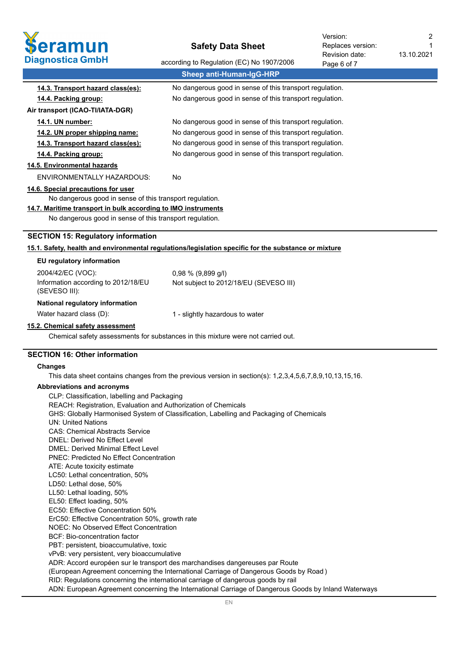

13.10.2021 Revision date: Replaces version: Version: 2

1

| Diagnostica GmbH                                              | according to Regulation (EC) No 1907/2006<br>Page 6 of 7                                                 |
|---------------------------------------------------------------|----------------------------------------------------------------------------------------------------------|
|                                                               | <b>Sheep anti-Human-IgG-HRP</b>                                                                          |
| 14.3. Transport hazard class(es):                             | No dangerous good in sense of this transport regulation.                                                 |
| 14.4. Packing group:                                          | No dangerous good in sense of this transport regulation.                                                 |
| Air transport (ICAO-TI/IATA-DGR)                              |                                                                                                          |
| 14.1. UN number:                                              | No dangerous good in sense of this transport regulation.                                                 |
| 14.2. UN proper shipping name:                                | No dangerous good in sense of this transport regulation.                                                 |
| 14.3. Transport hazard class(es):                             | No dangerous good in sense of this transport regulation.                                                 |
| 14.4. Packing group:                                          | No dangerous good in sense of this transport regulation.                                                 |
| 14.5. Environmental hazards                                   |                                                                                                          |
| <b>ENVIRONMENTALLY HAZARDOUS:</b>                             | No.                                                                                                      |
| 14.6. Special precautions for user                            |                                                                                                          |
| No dangerous good in sense of this transport regulation.      |                                                                                                          |
| 14.7. Maritime transport in bulk according to IMO instruments |                                                                                                          |
| No dangerous good in sense of this transport regulation.      |                                                                                                          |
| <b>SECTION 15: Regulatory information</b>                     |                                                                                                          |
|                                                               | 15.1. Safety, health and environmental regulations/legislation specific for the substance or mixture     |
| EU regulatory information                                     |                                                                                                          |
| 2004/42/EC (VOC):                                             | $0,98 \% (9,899 g/l)$                                                                                    |
| Information according to 2012/18/EU<br>(SEVESO III):          | Not subject to 2012/18/EU (SEVESO III)                                                                   |
| National regulatory information                               |                                                                                                          |
| Water hazard class (D):                                       | 1 - slightly hazardous to water                                                                          |
| 15.2. Chemical safety assessment                              |                                                                                                          |
|                                                               | Chemical safety assessments for substances in this mixture were not carried out.                         |
| <b>SECTION 16: Other information</b>                          |                                                                                                          |
| <b>Changes</b>                                                |                                                                                                          |
|                                                               | This data sheet contains changes from the previous version in section(s): 1,2,3,4,5,6,7,8,9,10,13,15,16. |

# **Abbreviations and acronyms**

| CLP: Classification, labelling and Packaging                                                         |
|------------------------------------------------------------------------------------------------------|
| REACH: Registration, Evaluation and Authorization of Chemicals                                       |
| GHS: Globally Harmonised System of Classification, Labelling and Packaging of Chemicals              |
| UN: United Nations                                                                                   |
| <b>CAS: Chemical Abstracts Service</b>                                                               |
| DNEL: Derived No Effect Level                                                                        |
| <b>DMFL: Derived Minimal Fffect Level</b>                                                            |
| <b>PNEC: Predicted No Effect Concentration</b>                                                       |
| ATE: Acute toxicity estimate                                                                         |
| LC50: Lethal concentration, 50%                                                                      |
| LD50: Lethal dose, 50%                                                                               |
| LL50: Lethal loading, 50%                                                                            |
| EL50: Effect loading, 50%                                                                            |
| EC50: Effective Concentration 50%                                                                    |
| ErC50: Effective Concentration 50%, growth rate                                                      |
| NOEC: No Observed Effect Concentration                                                               |
| BCF: Bio-concentration factor                                                                        |
| PBT: persistent, bioaccumulative, toxic                                                              |
| vPvB: very persistent, very bioaccumulative                                                          |
| ADR: Accord européen sur le transport des marchandises dangereuses par Route                         |
| (European Agreement concerning the International Carriage of Dangerous Goods by Road)                |
| RID: Regulations concerning the international carriage of dangerous goods by rail                    |
| ADN: European Agreement concerning the International Carriage of Dangerous Goods by Inland Waterways |